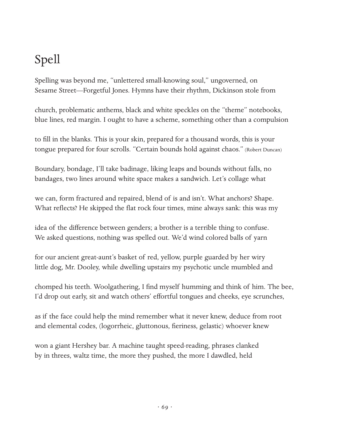## Spell

Spelling was beyond me, "unlettered small-knowing soul," ungoverned, on Sesame Street—Forgetful Jones. Hymns have their rhythm, Dickinson stole from

church, problematic anthems, black and white speckles on the "theme" notebooks, blue lines, red margin. I ought to have a scheme, something other than a compulsion

to fill in the blanks. This is your skin, prepared for a thousand words, this is your tongue prepared for four scrolls. "Certain bounds hold against chaos." (Robert Duncan)

Boundary, bondage, I'll take badinage, liking leaps and bounds without falls, no bandages, two lines around white space makes a sandwich. Let's collage what

we can, form fractured and repaired, blend of is and isn't. What anchors? Shape. What reflects? He skipped the flat rock four times, mine always sank: this was my

idea of the difference between genders; a brother is a terrible thing to confuse. We asked questions, nothing was spelled out. We'd wind colored balls of yarn

for our ancient great-aunt's basket of red, yellow, purple guarded by her wiry little dog, Mr. Dooley, while dwelling upstairs my psychotic uncle mumbled and

chomped his teeth. Woolgathering, I find myself humming and think of him. The bee, I'd drop out early, sit and watch others' effortful tongues and cheeks, eye scrunches,

as if the face could help the mind remember what it never knew, deduce from root and elemental codes, (logorrheic, gluttonous, fieriness, gelastic) whoever knew

won a giant Hershey bar. A machine taught speed-reading, phrases clanked by in threes, waltz time, the more they pushed, the more I dawdled, held